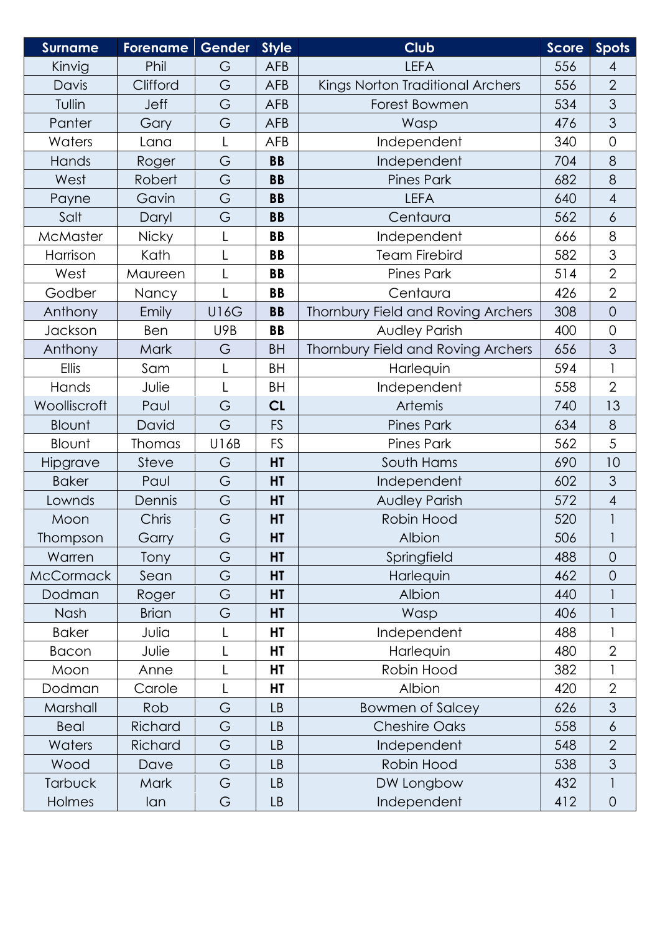| <b>Surname</b>   | <b>Forename</b> | <b>Gender</b> | <b>Style</b> | <b>Club</b>                        | <b>Score</b> | <b>Spots</b>        |
|------------------|-----------------|---------------|--------------|------------------------------------|--------------|---------------------|
| Kinvig           | Phil            | G             | <b>AFB</b>   | <b>LEFA</b>                        | 556          | 4                   |
| Davis            | Clifford        | G             | <b>AFB</b>   | Kings Norton Traditional Archers   | 556          | $\overline{2}$      |
| Tullin           | <b>Jeff</b>     | G             | <b>AFB</b>   | Forest Bowmen                      | 534          | 3                   |
| Panter           | Gary            | G             | <b>AFB</b>   | Wasp                               | 476          | 3                   |
| Waters           | Lana            |               | <b>AFB</b>   | Independent                        | 340          | $\mathsf{O}\xspace$ |
| Hands            | Roger           | G             | <b>BB</b>    | Independent                        | 704          | 8                   |
| West             | Robert          | G             | <b>BB</b>    | <b>Pines Park</b>                  | 682          | 8                   |
| Payne            | Gavin           | G             | <b>BB</b>    | <b>LEFA</b>                        | 640          | $\overline{4}$      |
| Salt             | Daryl           | G             | <b>BB</b>    | Centaura                           | 562          | 6                   |
| McMaster         | <b>Nicky</b>    |               | <b>BB</b>    | Independent                        | 666          | 8                   |
| Harrison         | Kath            |               | <b>BB</b>    | <b>Team Firebird</b>               | 582          | 3                   |
| West             | Maureen         | L             | <b>BB</b>    | <b>Pines Park</b>                  | 514          | $\overline{2}$      |
| Godber           | Nancy           |               | <b>BB</b>    | Centaura                           | 426          | $\overline{2}$      |
| Anthony          | Emily           | <b>U16G</b>   | <b>BB</b>    | Thornbury Field and Roving Archers | 308          | $\overline{0}$      |
| Jackson          | Ben             | U9B           | <b>BB</b>    | Audley Parish                      | 400          | $\overline{0}$      |
| Anthony          | Mark            | G             | <b>BH</b>    | Thornbury Field and Roving Archers | 656          | 3                   |
| Ellis            | Sam             |               | <b>BH</b>    | Harlequin                          | 594          | $\mathbf{1}$        |
| Hands            | Julie           | $\mathsf{L}$  | <b>BH</b>    | Independent                        | 558          | $\overline{2}$      |
| Woolliscroft     | Paul            | G             | CL           | Artemis                            | 740          | 13                  |
| Blount           | David           | G             | <b>FS</b>    | <b>Pines Park</b>                  | 634          | 8                   |
| Blount           | <b>Thomas</b>   | U16B          | <b>FS</b>    | <b>Pines Park</b>                  | 562          | 5                   |
| Hipgrave         | Steve           | G             | HT           | South Hams                         | 690          | 10                  |
| <b>Baker</b>     | Paul            | G             | HT           | Independent                        | 602          | 3                   |
| Lownds           | Dennis          | G             | HT           | <b>Audley Parish</b>               | 572          | $\overline{4}$      |
| Moon             | Chris           | G             | HT           | Robin Hood                         | 520          | 1                   |
| Thompson         | Garry           | G             | НT           | Albion                             | 506          |                     |
| Warren           | Tony            | G             | HT           | Springfield                        | 488          | $\overline{0}$      |
| <b>McCormack</b> | Sean            | G             | HT           | Harlequin                          | 462          | $\overline{0}$      |
| Dodman           | Roger           | G             | HT           | Albion                             | 440          |                     |
| Nash             | <b>Brian</b>    | G             | HT           | Wasp                               | 406          |                     |
| <b>Baker</b>     | Julia           |               | HT           | Independent                        | 488          |                     |
| <b>Bacon</b>     | Julie           |               | HT           | Harlequin                          | 480          | $\overline{2}$      |
| Moon             | Anne            |               | HT           | Robin Hood                         | 382          |                     |
| Dodman           | Carole          |               | HT           | Albion                             | 420          | $\overline{2}$      |
| Marshall         | Rob             | G             | <b>LB</b>    | <b>Bowmen of Salcey</b>            | 626          | 3                   |
| <b>Beal</b>      | Richard         | G             | <b>LB</b>    | <b>Cheshire Oaks</b>               | 558          | $\ddot{\circ}$      |
| Waters           | Richard         | G             | LB           | Independent                        | 548          | $\overline{2}$      |
| Wood             | Dave            | G             | LB           | Robin Hood                         | 538          | 3                   |
| <b>Tarbuck</b>   | <b>Mark</b>     | G             | LB           | DW Longbow                         | 432          | L                   |
| <b>Holmes</b>    | lan             | G             | LB           | Independent                        | 412          | $\mathbf 0$         |